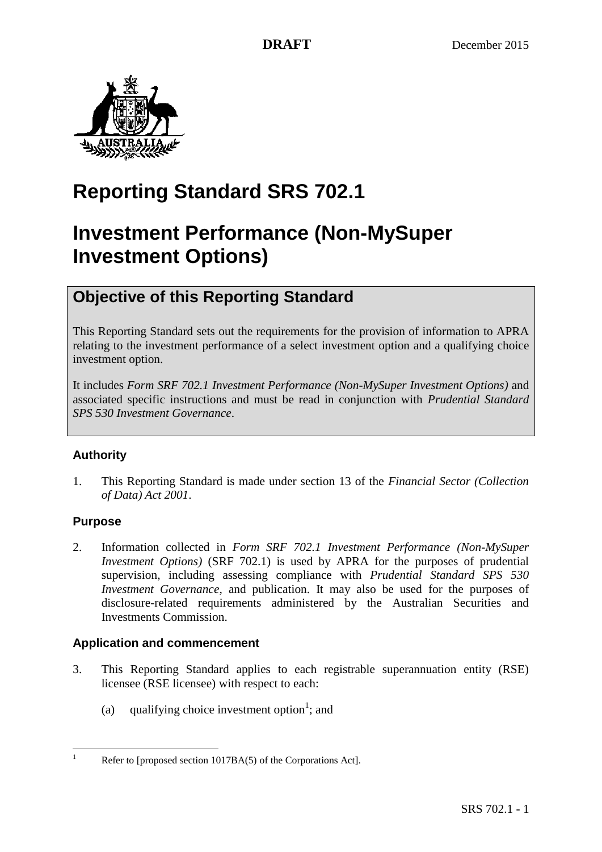

# **Reporting Standard SRS 702.1**

# **Investment Performance (Non-MySuper Investment Options)**

## **Objective of this Reporting Standard**

This Reporting Standard sets out the requirements for the provision of information to APRA relating to the investment performance of a select investment option and a qualifying choice investment option.

It includes *Form SRF 702.1 Investment Performance (Non-MySuper Investment Options)* and associated specific instructions and must be read in conjunction with *Prudential Standard SPS 530 Investment Governance*.

## **Authority**

1. This Reporting Standard is made under section 13 of the *Financial Sector (Collection of Data) Act 2001*.

## **Purpose**

 $\mathbf{1}$ 

2. Information collected in *Form SRF 702.1 Investment Performance (Non-MySuper Investment Options)* (SRF 702.1) is used by APRA for the purposes of prudential supervision, including assessing compliance with *Prudential Standard SPS 530 Investment Governance*, and publication. It may also be used for the purposes of disclosure-related requirements administered by the Australian Securities and Investments Commission.

## **Application and commencement**

- 3. This Reporting Standard applies to each registrable superannuation entity (RSE) licensee (RSE licensee) with respect to each:
	- (a) qualifying choice investment option<sup>1</sup>; and

Refer to [proposed section 1017BA(5) of the Corporations Act].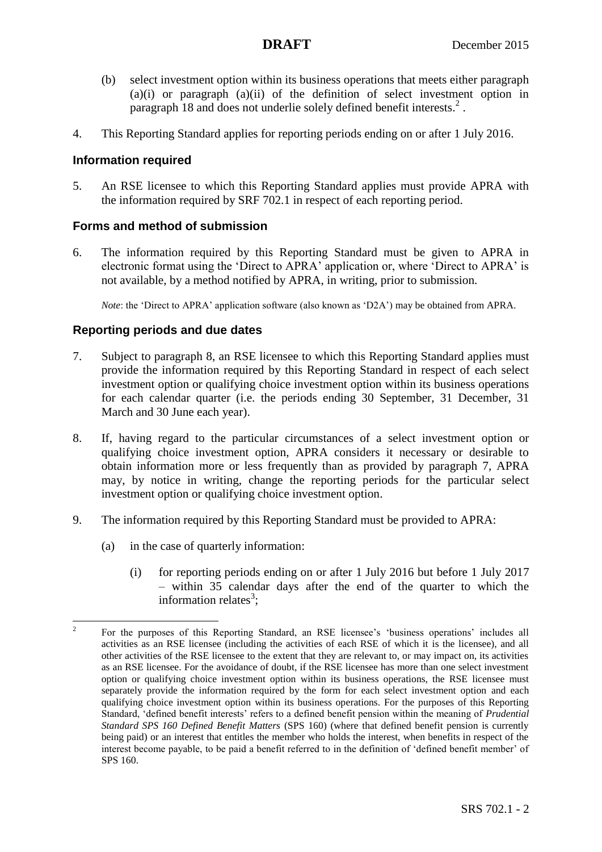- (b) select investment option within its business operations that meets either paragraph (a)(i) or paragraph (a)(ii) of the definition of select investment option in paragraph [18](#page-3-0) and does not underlie solely defined benefit interests. 2 .
- 4. This Reporting Standard applies for reporting periods ending on or after 1 July 2016.

## **Information required**

5. An RSE licensee to which this Reporting Standard applies must provide APRA with the information required by SRF 702.1 in respect of each reporting period.

## **Forms and method of submission**

6. The information required by this Reporting Standard must be given to APRA in electronic format using the 'Direct to APRA' application or, where 'Direct to APRA' is not available, by a method notified by APRA, in writing, prior to submission.

*Note*: the 'Direct to APRA' application software (also known as 'D2A') may be obtained from APRA.

## **Reporting periods and due dates**

- <span id="page-1-1"></span>7. Subject to paragraph [8,](#page-1-0) an RSE licensee to which this Reporting Standard applies must provide the information required by this Reporting Standard in respect of each select investment option or qualifying choice investment option within its business operations for each calendar quarter (i.e. the periods ending 30 September, 31 December, 31 March and 30 June each year).
- <span id="page-1-0"></span>8. If, having regard to the particular circumstances of a select investment option or qualifying choice investment option, APRA considers it necessary or desirable to obtain information more or less frequently than as provided by paragraph [7,](#page-1-1) APRA may, by notice in writing, change the reporting periods for the particular select investment option or qualifying choice investment option.
- <span id="page-1-2"></span>9. The information required by this Reporting Standard must be provided to APRA:
	- (a) in the case of quarterly information:
		- (i) for reporting periods ending on or after 1 July 2016 but before 1 July 2017 – within 35 calendar days after the end of the quarter to which the information relates<sup>3</sup>;

 $\frac{1}{2}$ For the purposes of this Reporting Standard, an RSE licensee's 'business operations' includes all activities as an RSE licensee (including the activities of each RSE of which it is the licensee), and all other activities of the RSE licensee to the extent that they are relevant to, or may impact on, its activities as an RSE licensee. For the avoidance of doubt, if the RSE licensee has more than one select investment option or qualifying choice investment option within its business operations, the RSE licensee must separately provide the information required by the form for each select investment option and each qualifying choice investment option within its business operations. For the purposes of this Reporting Standard, 'defined benefit interests' refers to a defined benefit pension within the meaning of *Prudential Standard SPS 160 Defined Benefit Matters* (SPS 160) (where that defined benefit pension is currently being paid) or an interest that entitles the member who holds the interest, when benefits in respect of the interest become payable, to be paid a benefit referred to in the definition of 'defined benefit member' of SPS 160.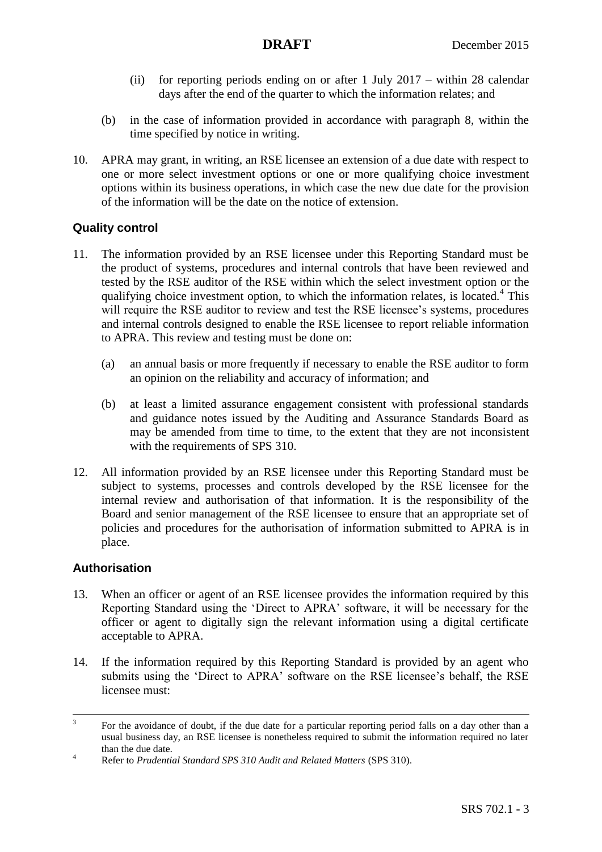- (ii) for reporting periods ending on or after 1 July 2017 within 28 calendar days after the end of the quarter to which the information relates; and
- (b) in the case of information provided in accordance with paragraph [8,](#page-1-0) within the time specified by notice in writing.
- <span id="page-2-0"></span>10. APRA may grant, in writing, an RSE licensee an extension of a due date with respect to one or more select investment options or one or more qualifying choice investment options within its business operations, in which case the new due date for the provision of the information will be the date on the notice of extension.

## **Quality control**

- 11. The information provided by an RSE licensee under this Reporting Standard must be the product of systems, procedures and internal controls that have been reviewed and tested by the RSE auditor of the RSE within which the select investment option or the qualifying choice investment option, to which the information relates, is located.<sup>4</sup> This will require the RSE auditor to review and test the RSE licensee's systems, procedures and internal controls designed to enable the RSE licensee to report reliable information to APRA. This review and testing must be done on:
	- (a) an annual basis or more frequently if necessary to enable the RSE auditor to form an opinion on the reliability and accuracy of information; and
	- (b) at least a limited assurance engagement consistent with professional standards and guidance notes issued by the Auditing and Assurance Standards Board as may be amended from time to time, to the extent that they are not inconsistent with the requirements of SPS 310.
- 12. All information provided by an RSE licensee under this Reporting Standard must be subject to systems, processes and controls developed by the RSE licensee for the internal review and authorisation of that information. It is the responsibility of the Board and senior management of the RSE licensee to ensure that an appropriate set of policies and procedures for the authorisation of information submitted to APRA is in place.

## **Authorisation**

 $\overline{a}$ 

- 13. When an officer or agent of an RSE licensee provides the information required by this Reporting Standard using the 'Direct to APRA' software, it will be necessary for the officer or agent to digitally sign the relevant information using a digital certificate acceptable to APRA.
- 14. If the information required by this Reporting Standard is provided by an agent who submits using the 'Direct to APRA' software on the RSE licensee's behalf, the RSE licensee must:

<sup>3</sup> For the avoidance of doubt, if the due date for a particular reporting period falls on a day other than a usual business day, an RSE licensee is nonetheless required to submit the information required no later than the due date.

<sup>4</sup> Refer to *Prudential Standard SPS 310 Audit and Related Matters* (SPS 310).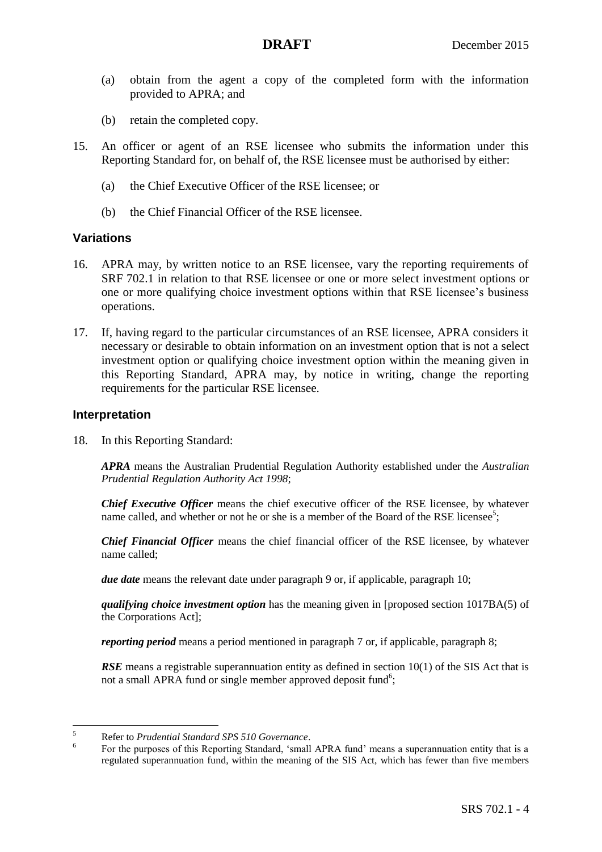- (a) obtain from the agent a copy of the completed form with the information provided to APRA; and
- (b) retain the completed copy.
- 15. An officer or agent of an RSE licensee who submits the information under this Reporting Standard for, on behalf of, the RSE licensee must be authorised by either:
	- (a) the Chief Executive Officer of the RSE licensee; or
	- (b) the Chief Financial Officer of the RSE licensee.

## **Variations**

- 16. APRA may, by written notice to an RSE licensee, vary the reporting requirements of SRF 702.1 in relation to that RSE licensee or one or more select investment options or one or more qualifying choice investment options within that RSE licensee's business operations.
- 17. If, having regard to the particular circumstances of an RSE licensee, APRA considers it necessary or desirable to obtain information on an investment option that is not a select investment option or qualifying choice investment option within the meaning given in this Reporting Standard, APRA may, by notice in writing, change the reporting requirements for the particular RSE licensee.

## **Interpretation**

<span id="page-3-0"></span>18. In this Reporting Standard:

*APRA* means the Australian Prudential Regulation Authority established under the *Australian Prudential Regulation Authority Act 1998*;

*Chief Executive Officer* means the chief executive officer of the RSE licensee, by whatever name called, and whether or not he or she is a member of the Board of the RSE licensee<sup>5</sup>;

*Chief Financial Officer* means the chief financial officer of the RSE licensee, by whatever name called;

*due date* means the relevant date under paragraph [9](#page-1-2) or, if applicable, paragraph [10;](#page-2-0)

*qualifying choice investment option* has the meaning given in [proposed section 1017BA(5) of the Corporations Act];

*reporting period* means a period mentioned in paragraph [7](#page-1-1) or, if applicable, paragraph [8;](#page-1-0)

*RSE* means a registrable superannuation entity as defined in section 10(1) of the SIS Act that is not a small APRA fund or single member approved deposit fund<sup>6</sup>;

 $\overline{5}$ <sup>5</sup> Refer to *Prudential Standard SPS 510 Governance*.

<sup>6</sup> For the purposes of this Reporting Standard, 'small APRA fund' means a superannuation entity that is a regulated superannuation fund, within the meaning of the SIS Act, which has fewer than five members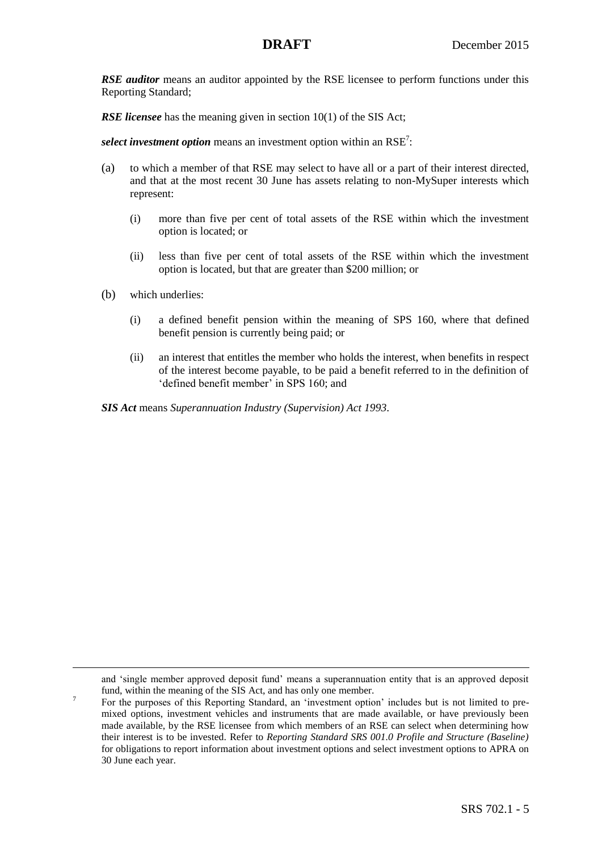**RSE auditor** means an auditor appointed by the RSE licensee to perform functions under this Reporting Standard;

*RSE licensee* has the meaning given in section 10(1) of the SIS Act;

select investment option means an investment option within an RSE<sup>7</sup>:

- (a) to which a member of that RSE may select to have all or a part of their interest directed, and that at the most recent 30 June has assets relating to non-MySuper interests which represent:
	- (i) more than five per cent of total assets of the RSE within which the investment option is located; or
	- (ii) less than five per cent of total assets of the RSE within which the investment option is located, but that are greater than \$200 million; or
- (b) which underlies:

 $\overline{a}$ 

7

- (i) a defined benefit pension within the meaning of SPS 160, where that defined benefit pension is currently being paid; or
- (ii) an interest that entitles the member who holds the interest, when benefits in respect of the interest become payable, to be paid a benefit referred to in the definition of 'defined benefit member' in SPS 160; and

*SIS Act* means *Superannuation Industry (Supervision) Act 1993*.

and 'single member approved deposit fund' means a superannuation entity that is an approved deposit fund, within the meaning of the SIS Act, and has only one member.

For the purposes of this Reporting Standard, an 'investment option' includes but is not limited to premixed options, investment vehicles and instruments that are made available, or have previously been made available, by the RSE licensee from which members of an RSE can select when determining how their interest is to be invested. Refer to *Reporting Standard SRS 001.0 Profile and Structure (Baseline)*  for obligations to report information about investment options and select investment options to APRA on 30 June each year.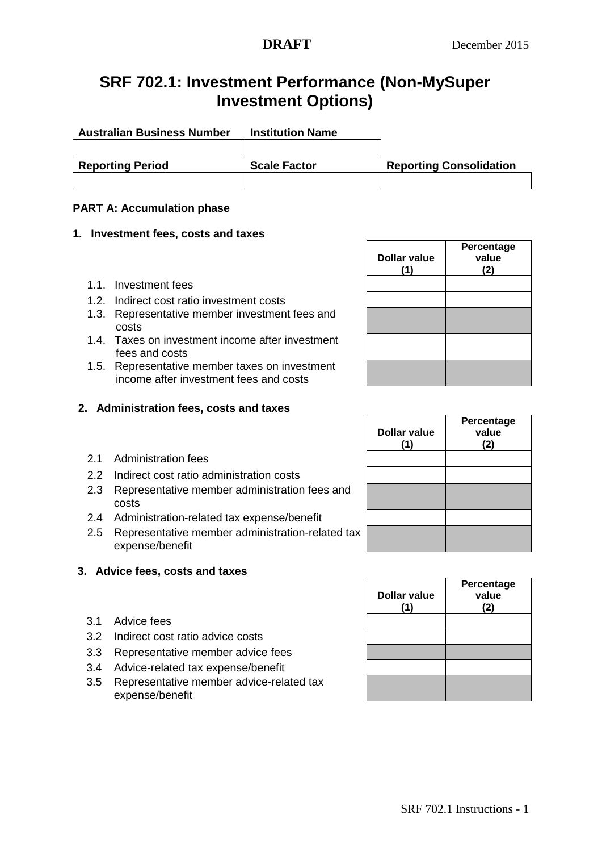## **SRF 702.1: Investment Performance (Non-MySuper Investment Options)**

| <b>Australian Business Number</b> | <b>Institution Name</b> |                                |
|-----------------------------------|-------------------------|--------------------------------|
|                                   |                         |                                |
| <b>Reporting Period</b>           | <b>Scale Factor</b>     | <b>Reporting Consolidation</b> |
|                                   |                         |                                |

## **PART A: Accumulation phase**

### **1. Investment fees, costs and taxes**

- 1.1. Investment fees
- 1.2. Indirect cost ratio investment costs
- 1.3. Representative member investment fees and costs
- 1.4. Taxes on investment income after investment fees and costs
- 1.5. Representative member taxes on investment income after investment fees and costs

## **2. Administration fees, costs and taxes**

- 2.1 Administration fees
- 2.2 Indirect cost ratio administration costs
- 2.3 Representative member administration fees and costs
- 2.4 Administration-related tax expense/benefit
- 2.5 Representative member administration-related tax expense/benefit

## **3. Advice fees, costs and taxes**

- 3.1 Advice fees
- 3.2 Indirect cost ratio advice costs
- 3.3 Representative member advice fees
- 3.4 Advice-related tax expense/benefit
- 3.5 Representative member advice-related tax expense/benefit

| <b>Dollar value</b><br>(1) | Percentage<br>value<br>(2) |
|----------------------------|----------------------------|
|                            |                            |
|                            |                            |
|                            |                            |
|                            |                            |
|                            |                            |

| <b>Dollar value</b><br>(1) | Percentage<br>value<br>(2) |
|----------------------------|----------------------------|
|                            |                            |
|                            |                            |
|                            |                            |
|                            |                            |

| <b>Dollar value</b><br>(1) | Percentage<br>value<br>(2) |
|----------------------------|----------------------------|
|                            |                            |
|                            |                            |
|                            |                            |
|                            |                            |
|                            |                            |
|                            |                            |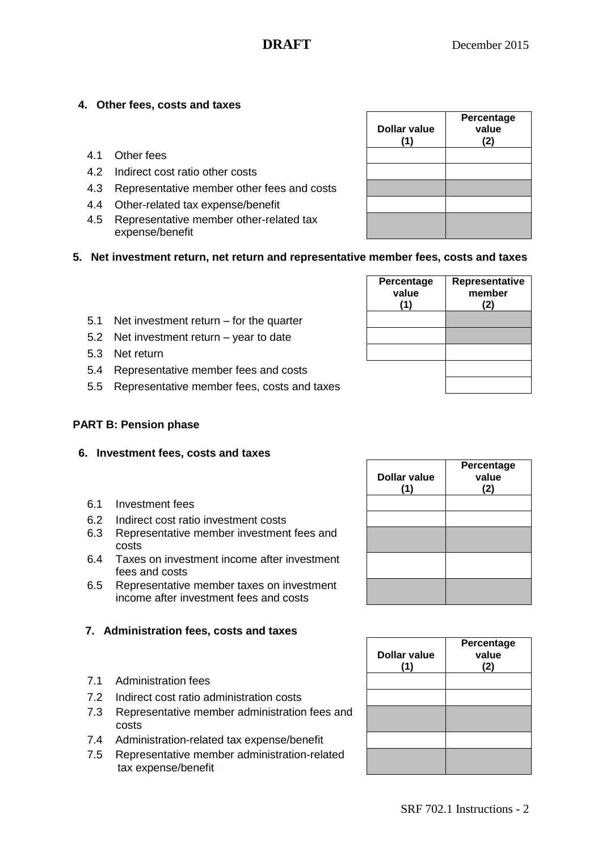**Representative member (2)**

## **4. Other fees, costs and taxes**

- 4.1 Other fees
- 4.2 Indirect cost ratio other costs
- 4.3 Representative member other fees and costs
- 4.4 Other-related tax expense/benefit
- 4.5 Representative member other-related tax expense/benefit

| <b>Dollar value</b><br>(1) | Percentage<br>value<br>(2) |
|----------------------------|----------------------------|
|                            |                            |
|                            |                            |
|                            |                            |
|                            |                            |
|                            |                            |

**Percentage value (1)**

**5. Net investment return, net return and representative member fees, costs and taxes** 

| 5.1 | Net investment return $-$ for the quarter |  |
|-----|-------------------------------------------|--|
|-----|-------------------------------------------|--|

- 5.2 Net investment return year to date
- 5.3 Net return
- 5.4 Representative member fees and costs
- 5.5 Representative member fees, costs and taxes

### **PART B: Pension phase**

### **6. Investment fees, costs and taxes**

- 6.1 Investment fees
- 6.2 Indirect cost ratio investment costs
- 6.3 Representative member investment fees and costs
- 6.4 Taxes on investment income after investment fees and costs
- 6.5 Representative member taxes on investment income after investment fees and costs

## **7. Administration fees, costs and taxes**

- 7.1 Administration fees
- 7.2 Indirect cost ratio administration costs
- 7.3 Representative member administration fees and costs
- 7.4 Administration-related tax expense/benefit
- 7.5 Representative member administration-related tax expense/benefit

| Percentage<br>value<br>(2) |
|----------------------------|
|                            |
|                            |
|                            |
|                            |
|                            |
|                            |
|                            |

| <b>Dollar value</b><br>(1) | Percentage<br>value<br>(2) |
|----------------------------|----------------------------|
|                            |                            |
|                            |                            |
|                            |                            |
|                            |                            |
|                            |                            |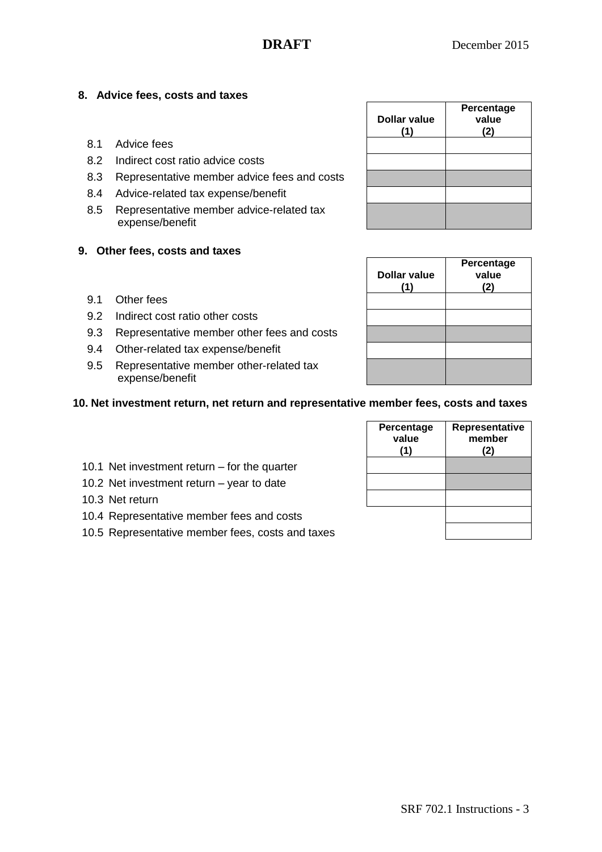## **8. Advice fees, costs and taxes**

- 8.1 Advice fees
- 8.2 Indirect cost ratio advice costs
- 8.3 Representative member advice fees and costs
- 8.4 Advice-related tax expense/benefit
- 8.5 Representative member advice-related tax expense/benefit

## **9. Other fees, costs and taxes**

- 9.1 Other fees
- 9.2 Indirect cost ratio other costs
- 9.3 Representative member other fees and costs
- 9.4 Other-related tax expense/benefit
- 9.5 Representative member other-related tax expense/benefit

## **10. Net investment return, net return and representative member fees, costs and taxes**

- 10.1 Net investment return for the quarter
- 10.2 Net investment return year to date
- 10.3 Net return
- 10.4 Representative member fees and costs
- 10.5 Representative member fees, costs and taxes

| <b>Dollar value</b><br>(1) | Percentage<br>value<br>(2) |
|----------------------------|----------------------------|
|                            |                            |
|                            |                            |
|                            |                            |

| <b>Dollar value</b><br>(1) | Percentage<br>value<br>(2) |
|----------------------------|----------------------------|
|                            |                            |
|                            |                            |
|                            |                            |
|                            |                            |
|                            |                            |

| Percentage<br>value<br>(1) | Representative<br>member<br>(2) |
|----------------------------|---------------------------------|
|                            |                                 |
|                            |                                 |
|                            |                                 |
|                            |                                 |
|                            |                                 |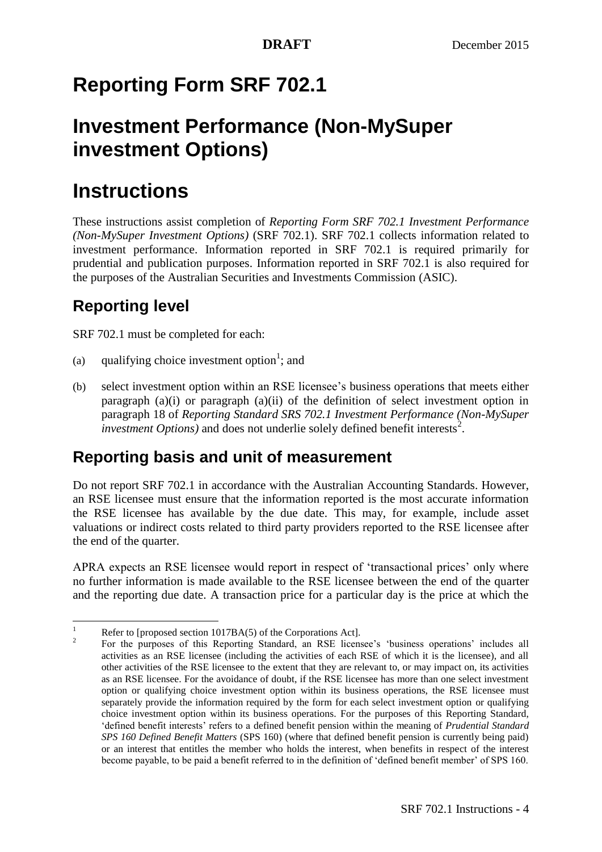# **Reporting Form SRF 702.1**

# **Investment Performance (Non-MySuper investment Options)**

# **Instructions**

These instructions assist completion of *Reporting Form SRF 702.1 Investment Performance (Non-MySuper Investment Options)* (SRF 702.1). SRF 702.1 collects information related to investment performance. Information reported in SRF 702.1 is required primarily for prudential and publication purposes. Information reported in SRF 702.1 is also required for the purposes of the Australian Securities and Investments Commission (ASIC).

# **Reporting level**

SRF 702.1 must be completed for each:

- (a) qualifying choice investment option<sup>1</sup>; and
- (b) select investment option within an RSE licensee's business operations that meets either paragraph  $(a)(i)$  or paragraph  $(a)(ii)$  of the definition of select investment option in paragraph [18](#page-3-0) of *Reporting Standard SRS 702.1 Investment Performance (Non-MySuper*   $\overline{\text{investment Options}}$  and does not underlie solely defined benefit interests<sup>2</sup>.

## **Reporting basis and unit of measurement**

Do not report SRF 702.1 in accordance with the Australian Accounting Standards. However, an RSE licensee must ensure that the information reported is the most accurate information the RSE licensee has available by the due date. This may, for example, include asset valuations or indirect costs related to third party providers reported to the RSE licensee after the end of the quarter.

APRA expects an RSE licensee would report in respect of 'transactional prices' only where no further information is made available to the RSE licensee between the end of the quarter and the reporting due date. A transaction price for a particular day is the price at which the

 $\mathbf{1}$ Refer to [proposed section 1017BA(5) of the Corporations Act].

 $\overline{2}$ For the purposes of this Reporting Standard, an RSE licensee's 'business operations' includes all activities as an RSE licensee (including the activities of each RSE of which it is the licensee), and all other activities of the RSE licensee to the extent that they are relevant to, or may impact on, its activities as an RSE licensee. For the avoidance of doubt, if the RSE licensee has more than one select investment option or qualifying choice investment option within its business operations, the RSE licensee must separately provide the information required by the form for each select investment option or qualifying choice investment option within its business operations. For the purposes of this Reporting Standard, 'defined benefit interests' refers to a defined benefit pension within the meaning of *Prudential Standard SPS 160 Defined Benefit Matters* (SPS 160) (where that defined benefit pension is currently being paid) or an interest that entitles the member who holds the interest, when benefits in respect of the interest become payable, to be paid a benefit referred to in the definition of 'defined benefit member' of SPS 160.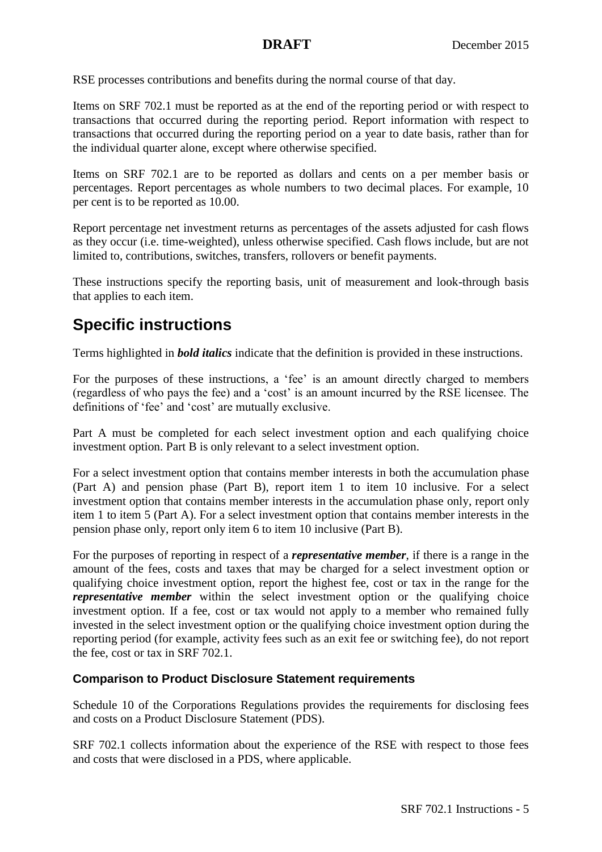RSE processes contributions and benefits during the normal course of that day.

Items on SRF 702.1 must be reported as at the end of the reporting period or with respect to transactions that occurred during the reporting period. Report information with respect to transactions that occurred during the reporting period on a year to date basis, rather than for the individual quarter alone, except where otherwise specified.

Items on SRF 702.1 are to be reported as dollars and cents on a per member basis or percentages. Report percentages as whole numbers to two decimal places. For example, 10 per cent is to be reported as 10.00.

Report percentage net investment returns as percentages of the assets adjusted for cash flows as they occur (i.e. time-weighted), unless otherwise specified. Cash flows include, but are not limited to, contributions, switches, transfers, rollovers or benefit payments.

These instructions specify the reporting basis, unit of measurement and look-through basis that applies to each item.

## **Specific instructions**

Terms highlighted in *bold italics* indicate that the definition is provided in these instructions.

For the purposes of these instructions, a 'fee' is an amount directly charged to members (regardless of who pays the fee) and a 'cost' is an amount incurred by the RSE licensee. The definitions of 'fee' and 'cost' are mutually exclusive.

Part A must be completed for each select investment option and each qualifying choice investment option. Part B is only relevant to a select investment option.

For a select investment option that contains member interests in both the accumulation phase (Part A) and pension phase (Part B), report item 1 to item 10 inclusive. For a select investment option that contains member interests in the accumulation phase only, report only item 1 to item 5 (Part A). For a select investment option that contains member interests in the pension phase only, report only item 6 to item 10 inclusive (Part B).

For the purposes of reporting in respect of a *representative member*, if there is a range in the amount of the fees, costs and taxes that may be charged for a select investment option or qualifying choice investment option, report the highest fee, cost or tax in the range for the *representative member* within the select investment option or the qualifying choice investment option. If a fee, cost or tax would not apply to a member who remained fully invested in the select investment option or the qualifying choice investment option during the reporting period (for example, activity fees such as an exit fee or switching fee), do not report the fee, cost or tax in SRF 702.1.

## **Comparison to Product Disclosure Statement requirements**

Schedule 10 of the Corporations Regulations provides the requirements for disclosing fees and costs on a Product Disclosure Statement (PDS).

SRF 702.1 collects information about the experience of the RSE with respect to those fees and costs that were disclosed in a PDS, where applicable.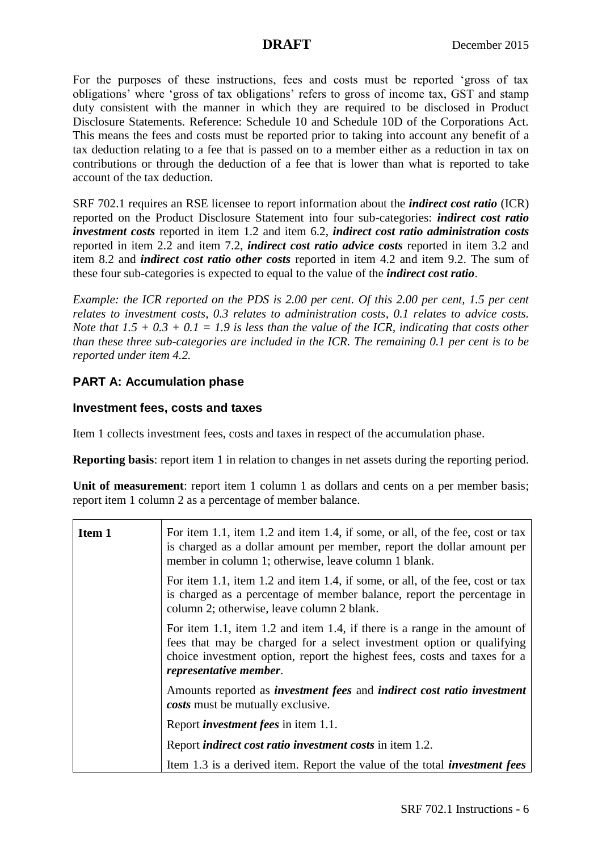For the purposes of these instructions, fees and costs must be reported 'gross of tax obligations' where 'gross of tax obligations' refers to gross of income tax, GST and stamp duty consistent with the manner in which they are required to be disclosed in Product Disclosure Statements. Reference: Schedule 10 and Schedule 10D of the Corporations Act. This means the fees and costs must be reported prior to taking into account any benefit of a tax deduction relating to a fee that is passed on to a member either as a reduction in tax on contributions or through the deduction of a fee that is lower than what is reported to take account of the tax deduction.

SRF 702.1 requires an RSE licensee to report information about the *indirect cost ratio* (ICR) reported on the Product Disclosure Statement into four sub-categories: *indirect cost ratio investment costs* reported in item 1.2 and item 6.2, *indirect cost ratio administration costs* reported in item 2.2 and item 7.2, *indirect cost ratio advice costs* reported in item 3.2 and item 8.2 and *indirect cost ratio other costs* reported in item 4.2 and item 9.2. The sum of these four sub-categories is expected to equal to the value of the *indirect cost ratio*.

*Example: the ICR reported on the PDS is 2.00 per cent. Of this 2.00 per cent, 1.5 per cent relates to investment costs, 0.3 relates to administration costs, 0.1 relates to advice costs. Note that*  $1.5 + 0.3 + 0.1 = 1.9$  *is less than the value of the ICR, indicating that costs other than these three sub-categories are included in the ICR. The remaining 0.1 per cent is to be reported under item 4.2.*

## **PART A: Accumulation phase**

## **Investment fees, costs and taxes**

Item 1 collects investment fees, costs and taxes in respect of the accumulation phase.

**Reporting basis:** report item 1 in relation to changes in net assets during the reporting period.

Unit of measurement: report item 1 column 1 as dollars and cents on a per member basis; report item 1 column 2 as a percentage of member balance.

| <b>Item 1</b> | For item 1.1, item 1.2 and item 1.4, if some, or all, of the fee, cost or tax<br>is charged as a dollar amount per member, report the dollar amount per<br>member in column 1; otherwise, leave column 1 blank.                                          |
|---------------|----------------------------------------------------------------------------------------------------------------------------------------------------------------------------------------------------------------------------------------------------------|
|               | For item 1.1, item 1.2 and item 1.4, if some, or all, of the fee, cost or tax<br>is charged as a percentage of member balance, report the percentage in<br>column 2; otherwise, leave column 2 blank.                                                    |
|               | For item 1.1, item 1.2 and item 1.4, if there is a range in the amount of<br>fees that may be charged for a select investment option or qualifying<br>choice investment option, report the highest fees, costs and taxes for a<br>representative member. |
|               | Amounts reported as <i>investment fees</i> and <i>indirect cost ratio investment</i><br>costs must be mutually exclusive.                                                                                                                                |
|               | Report <i>investment fees</i> in item 1.1.                                                                                                                                                                                                               |
|               | Report <i>indirect cost ratio investment costs</i> in item 1.2.                                                                                                                                                                                          |
|               | Item 1.3 is a derived item. Report the value of the total <i>investment fees</i>                                                                                                                                                                         |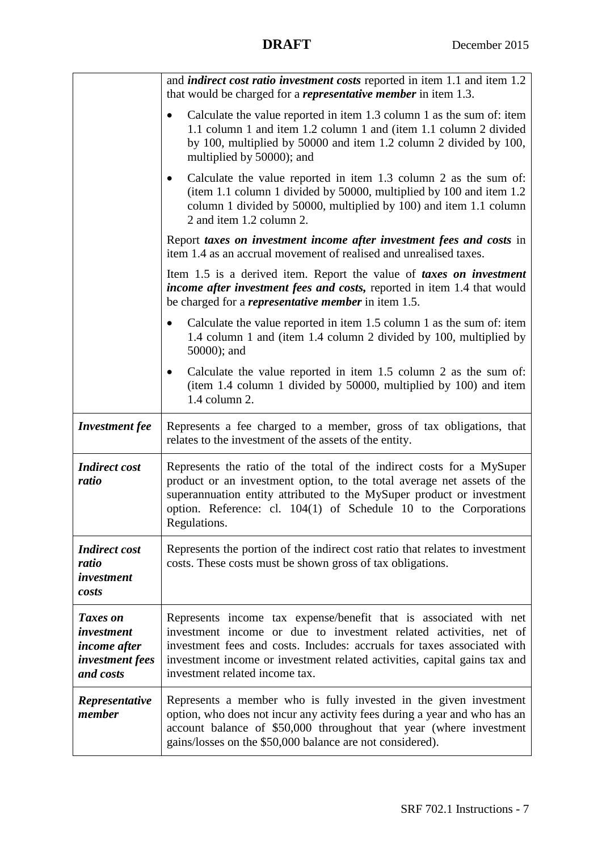|                                                                        | and <i>indirect cost ratio investment costs</i> reported in item 1.1 and item 1.2<br>that would be charged for a <i>representative member</i> in item 1.3.                                                                                                                                                                       |
|------------------------------------------------------------------------|----------------------------------------------------------------------------------------------------------------------------------------------------------------------------------------------------------------------------------------------------------------------------------------------------------------------------------|
|                                                                        | Calculate the value reported in item 1.3 column 1 as the sum of: item<br>1.1 column 1 and item 1.2 column 1 and (item 1.1 column 2 divided<br>by 100, multiplied by 50000 and item 1.2 column 2 divided by 100,<br>multiplied by 50000); and                                                                                     |
|                                                                        | Calculate the value reported in item 1.3 column 2 as the sum of:<br>(item 1.1 column 1 divided by 50000, multiplied by 100 and item 1.2<br>column 1 divided by 50000, multiplied by 100) and item 1.1 column<br>2 and item 1.2 column 2.                                                                                         |
|                                                                        | Report taxes on investment income after investment fees and costs in<br>item 1.4 as an accrual movement of realised and unrealised taxes.                                                                                                                                                                                        |
|                                                                        | Item 1.5 is a derived item. Report the value of <i>taxes on investment</i><br>income after investment fees and costs, reported in item 1.4 that would<br>be charged for a <i>representative member</i> in item 1.5.                                                                                                              |
|                                                                        | Calculate the value reported in item 1.5 column 1 as the sum of: item<br>1.4 column 1 and (item 1.4 column 2 divided by 100, multiplied by<br>50000); and                                                                                                                                                                        |
|                                                                        | Calculate the value reported in item 1.5 column 2 as the sum of:<br>$\bullet$<br>(item 1.4 column 1 divided by 50000, multiplied by 100) and item<br>1.4 column 2.                                                                                                                                                               |
| <b>Investment</b> fee                                                  | Represents a fee charged to a member, gross of tax obligations, that<br>relates to the investment of the assets of the entity.                                                                                                                                                                                                   |
| <b>Indirect cost</b><br>ratio                                          | Represents the ratio of the total of the indirect costs for a MySuper<br>product or an investment option, to the total average net assets of the<br>superannuation entity attributed to the MySuper product or investment<br>option. Reference: cl. 104(1) of Schedule 10 to the Corporations<br>Regulations.                    |
| <b>Indirect cost</b><br>ratio<br>investment<br>costs                   | Represents the portion of the indirect cost ratio that relates to investment<br>costs. These costs must be shown gross of tax obligations.                                                                                                                                                                                       |
| Taxes on<br>investment<br>income after<br>investment fees<br>and costs | Represents income tax expense/benefit that is associated with net<br>investment income or due to investment related activities, net of<br>investment fees and costs. Includes: accruals for taxes associated with<br>investment income or investment related activities, capital gains tax and<br>investment related income tax. |
| Representative                                                         | Represents a member who is fully invested in the given investment                                                                                                                                                                                                                                                                |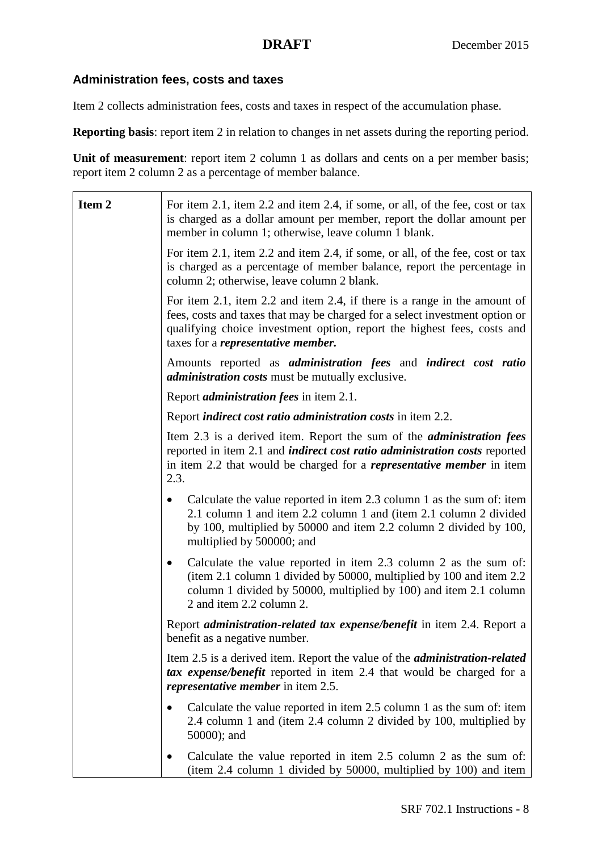## **Administration fees, costs and taxes**

Item 2 collects administration fees, costs and taxes in respect of the accumulation phase.

**Reporting basis:** report item 2 in relation to changes in net assets during the reporting period.

**Unit of measurement**: report item 2 column 1 as dollars and cents on a per member basis; report item 2 column 2 as a percentage of member balance.

| Item <sub>2</sub> | For item 2.1, item 2.2 and item 2.4, if some, or all, of the fee, cost or tax<br>is charged as a dollar amount per member, report the dollar amount per<br>member in column 1; otherwise, leave column 1 blank.                                                                   |
|-------------------|-----------------------------------------------------------------------------------------------------------------------------------------------------------------------------------------------------------------------------------------------------------------------------------|
|                   | For item 2.1, item 2.2 and item 2.4, if some, or all, of the fee, cost or tax<br>is charged as a percentage of member balance, report the percentage in<br>column 2; otherwise, leave column 2 blank.                                                                             |
|                   | For item 2.1, item 2.2 and item 2.4, if there is a range in the amount of<br>fees, costs and taxes that may be charged for a select investment option or<br>qualifying choice investment option, report the highest fees, costs and<br>taxes for a <i>representative member</i> . |
|                   | Amounts reported as <i>administration fees</i> and <i>indirect cost ratio</i><br><i>administration costs</i> must be mutually exclusive.                                                                                                                                          |
|                   | Report <i>administration fees</i> in item 2.1.                                                                                                                                                                                                                                    |
|                   | Report <i>indirect cost ratio administration costs</i> in item 2.2.                                                                                                                                                                                                               |
|                   | Item 2.3 is a derived item. Report the sum of the <i>administration fees</i><br>reported in item 2.1 and <i>indirect cost ratio administration costs</i> reported<br>in item 2.2 that would be charged for a <i>representative member</i> in item<br>2.3.                         |
|                   | Calculate the value reported in item 2.3 column 1 as the sum of: item<br>2.1 column 1 and item 2.2 column 1 and (item 2.1 column 2 divided<br>by 100, multiplied by 50000 and item 2.2 column 2 divided by 100,<br>multiplied by 500000; and                                      |
|                   | Calculate the value reported in item 2.3 column 2 as the sum of:<br>$\bullet$<br>(item 2.1 column 1 divided by 50000, multiplied by 100 and item 2.2<br>column 1 divided by 50000, multiplied by 100) and item 2.1 column<br>2 and item 2.2 column 2.                             |
|                   | Report <i>administration-related tax expense/benefit</i> in item 2.4. Report a<br>benefit as a negative number.                                                                                                                                                                   |
|                   | Item 2.5 is a derived item. Report the value of the <i>administration-related</i><br>tax expense/benefit reported in item 2.4 that would be charged for a<br><i>representative member</i> in item 2.5.                                                                            |
|                   | Calculate the value reported in item 2.5 column 1 as the sum of: item<br>2.4 column 1 and (item 2.4 column 2 divided by 100, multiplied by<br>50000); and                                                                                                                         |
|                   | Calculate the value reported in item 2.5 column 2 as the sum of:<br>(item 2.4 column 1 divided by 50000, multiplied by 100) and item                                                                                                                                              |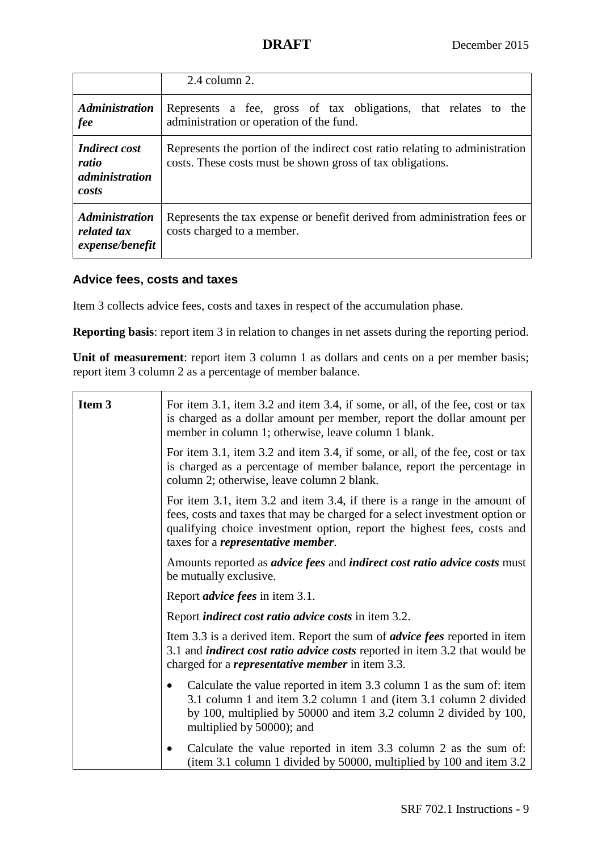|                                                                 | $2.4$ column $2.$                                                                                                                          |
|-----------------------------------------------------------------|--------------------------------------------------------------------------------------------------------------------------------------------|
| <b>Administration</b><br><i>fee</i>                             | Represents a fee, gross of tax obligations, that relates to the<br>administration or operation of the fund.                                |
| <b>Indirect cost</b><br>ratio<br><i>administration</i><br>costs | Represents the portion of the indirect cost ratio relating to administration<br>costs. These costs must be shown gross of tax obligations. |
| <b>Administration</b><br>related tax<br>expense/benefit         | Represents the tax expense or benefit derived from administration fees or<br>costs charged to a member.                                    |

## **Advice fees, costs and taxes**

Item 3 collects advice fees, costs and taxes in respect of the accumulation phase.

**Reporting basis:** report item 3 in relation to changes in net assets during the reporting period.

Unit of measurement: report item 3 column 1 as dollars and cents on a per member basis; report item 3 column 2 as a percentage of member balance.

| Item 3 | For item 3.1, item 3.2 and item 3.4, if some, or all, of the fee, cost or tax<br>is charged as a dollar amount per member, report the dollar amount per<br>member in column 1; otherwise, leave column 1 blank.                                                                   |
|--------|-----------------------------------------------------------------------------------------------------------------------------------------------------------------------------------------------------------------------------------------------------------------------------------|
|        | For item 3.1, item 3.2 and item 3.4, if some, or all, of the fee, cost or tax<br>is charged as a percentage of member balance, report the percentage in<br>column 2; otherwise, leave column 2 blank.                                                                             |
|        | For item 3.1, item 3.2 and item 3.4, if there is a range in the amount of<br>fees, costs and taxes that may be charged for a select investment option or<br>qualifying choice investment option, report the highest fees, costs and<br>taxes for a <i>representative member</i> . |
|        | Amounts reported as <i>advice fees</i> and <i>indirect cost ratio advice costs</i> must<br>be mutually exclusive.                                                                                                                                                                 |
|        | Report <i>advice fees</i> in item 3.1.                                                                                                                                                                                                                                            |
|        | Report <i>indirect cost ratio advice costs</i> in item 3.2.                                                                                                                                                                                                                       |
|        | Item 3.3 is a derived item. Report the sum of <i>advice fees</i> reported in item<br>3.1 and <i>indirect cost ratio advice costs</i> reported in item 3.2 that would be<br>charged for a <i>representative member</i> in item 3.3.                                                |
|        | Calculate the value reported in item 3.3 column 1 as the sum of: item<br>3.1 column 1 and item 3.2 column 1 and (item 3.1 column 2 divided<br>by 100, multiplied by 50000 and item 3.2 column 2 divided by 100,<br>multiplied by 50000); and                                      |
|        | Calculate the value reported in item 3.3 column 2 as the sum of:<br>٠<br>(item 3.1 column 1 divided by 50000, multiplied by 100 and item 3.2                                                                                                                                      |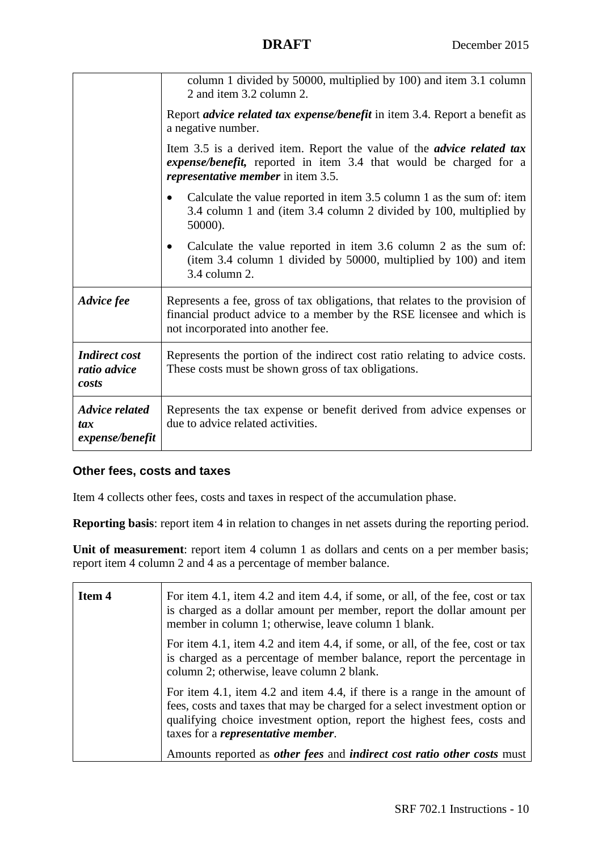|                                                 | column 1 divided by 50000, multiplied by 100) and item 3.1 column<br>2 and item 3.2 column 2.                                                                                                   |
|-------------------------------------------------|-------------------------------------------------------------------------------------------------------------------------------------------------------------------------------------------------|
|                                                 | Report <i>advice related tax expense/benefit</i> in item 3.4. Report a benefit as<br>a negative number.                                                                                         |
|                                                 | Item 3.5 is a derived item. Report the value of the <i>advice related tax</i><br>expense/benefit, reported in item 3.4 that would be charged for a<br><i>representative member</i> in item 3.5. |
|                                                 | Calculate the value reported in item 3.5 column 1 as the sum of: item<br>3.4 column 1 and (item 3.4 column 2 divided by 100, multiplied by<br>50000).                                           |
|                                                 | Calculate the value reported in item 3.6 column 2 as the sum of:<br>$\bullet$<br>(item 3.4 column 1 divided by 50000, multiplied by 100) and item<br>3.4 column 2.                              |
| Advice fee                                      | Represents a fee, gross of tax obligations, that relates to the provision of<br>financial product advice to a member by the RSE licensee and which is<br>not incorporated into another fee.     |
| <b>Indirect cost</b><br>ratio advice<br>costs   | Represents the portion of the indirect cost ratio relating to advice costs.<br>These costs must be shown gross of tax obligations.                                                              |
| <b>Advice related</b><br>tax<br>expense/benefit | Represents the tax expense or benefit derived from advice expenses or<br>due to advice related activities.                                                                                      |

## **Other fees, costs and taxes**

Item 4 collects other fees, costs and taxes in respect of the accumulation phase.

**Reporting basis**: report item 4 in relation to changes in net assets during the reporting period.

Unit of measurement: report item 4 column 1 as dollars and cents on a per member basis; report item 4 column 2 and 4 as a percentage of member balance.

| Item 4 | For item 4.1, item 4.2 and item 4.4, if some, or all, of the fee, cost or tax<br>is charged as a dollar amount per member, report the dollar amount per<br>member in column 1; otherwise, leave column 1 blank.                                                                                                                                                            |
|--------|----------------------------------------------------------------------------------------------------------------------------------------------------------------------------------------------------------------------------------------------------------------------------------------------------------------------------------------------------------------------------|
|        | For item 4.1, item 4.2 and item 4.4, if some, or all, of the fee, cost or tax<br>is charged as a percentage of member balance, report the percentage in<br>column 2; otherwise, leave column 2 blank.                                                                                                                                                                      |
|        | For item 4.1, item 4.2 and item 4.4, if there is a range in the amount of<br>fees, costs and taxes that may be charged for a select investment option or<br>qualifying choice investment option, report the highest fees, costs and<br>taxes for a <i>representative member</i> .<br>Amounts reported as <i>other fees</i> and <i>indirect cost ratio other costs</i> must |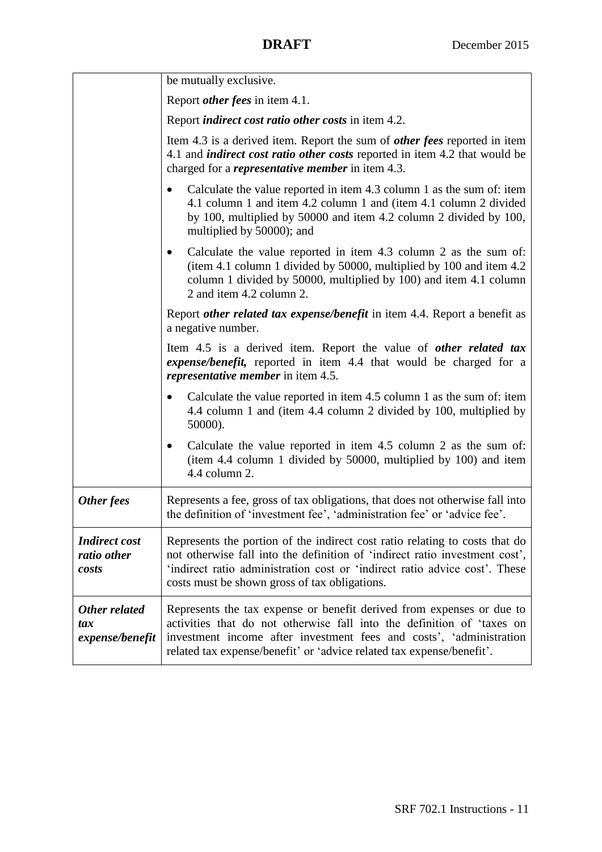|                                                | be mutually exclusive.                                                                                                                                                                                                                                                                          |
|------------------------------------------------|-------------------------------------------------------------------------------------------------------------------------------------------------------------------------------------------------------------------------------------------------------------------------------------------------|
|                                                | Report <i>other fees</i> in item 4.1.                                                                                                                                                                                                                                                           |
|                                                | Report <i>indirect cost ratio other costs</i> in item 4.2.                                                                                                                                                                                                                                      |
|                                                | Item 4.3 is a derived item. Report the sum of <i>other fees</i> reported in item<br>4.1 and <i>indirect cost ratio other costs</i> reported in item 4.2 that would be<br>charged for a <i>representative member</i> in item 4.3.                                                                |
|                                                | Calculate the value reported in item 4.3 column 1 as the sum of: item<br>$\bullet$<br>4.1 column 1 and item 4.2 column 1 and (item 4.1 column 2 divided<br>by 100, multiplied by 50000 and item 4.2 column 2 divided by 100,<br>multiplied by 50000); and                                       |
|                                                | Calculate the value reported in item 4.3 column 2 as the sum of:<br>$\bullet$<br>(item 4.1 column 1 divided by 50000, multiplied by 100 and item 4.2)<br>column 1 divided by 50000, multiplied by 100) and item 4.1 column<br>2 and item 4.2 column 2.                                          |
|                                                | Report <i>other related tax expense/benefit</i> in item 4.4. Report a benefit as<br>a negative number.                                                                                                                                                                                          |
|                                                | Item 4.5 is a derived item. Report the value of other related tax<br>expense/benefit, reported in item 4.4 that would be charged for a<br><i>representative member</i> in item 4.5.                                                                                                             |
|                                                | Calculate the value reported in item 4.5 column 1 as the sum of: item<br>$\bullet$<br>4.4 column 1 and (item 4.4 column 2 divided by 100, multiplied by<br>50000).                                                                                                                              |
|                                                | Calculate the value reported in item 4.5 column 2 as the sum of:<br>$\bullet$<br>(item 4.4 column 1 divided by 50000, multiplied by 100) and item<br>4.4 column 2.                                                                                                                              |
| Other fees                                     | Represents a fee, gross of tax obligations, that does not otherwise fall into<br>the definition of 'investment fee', 'administration fee' or 'advice fee'.                                                                                                                                      |
| <b>Indirect cost</b><br>ratio other<br>costs   | Represents the portion of the indirect cost ratio relating to costs that do<br>not otherwise fall into the definition of 'indirect ratio investment cost',<br>'indirect ratio administration cost or 'indirect ratio advice cost'. These<br>costs must be shown gross of tax obligations.       |
| <b>Other related</b><br>tax<br>expense/benefit | Represents the tax expense or benefit derived from expenses or due to<br>activities that do not otherwise fall into the definition of 'taxes on<br>investment income after investment fees and costs', 'administration<br>related tax expense/benefit' or 'advice related tax expense/benefit'. |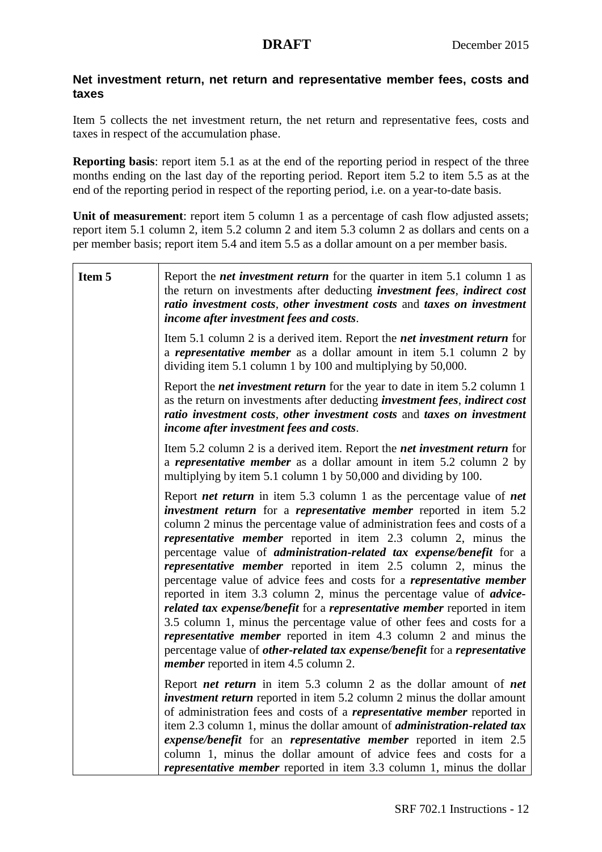## **Net investment return, net return and representative member fees, costs and taxes**

Item 5 collects the net investment return, the net return and representative fees, costs and taxes in respect of the accumulation phase.

**Reporting basis**: report item 5.1 as at the end of the reporting period in respect of the three months ending on the last day of the reporting period. Report item 5.2 to item 5.5 as at the end of the reporting period in respect of the reporting period, i.e. on a year-to-date basis.

**Unit of measurement**: report item 5 column 1 as a percentage of cash flow adjusted assets; report item 5.1 column 2, item 5.2 column 2 and item 5.3 column 2 as dollars and cents on a per member basis; report item 5.4 and item 5.5 as a dollar amount on a per member basis.

| Item 5 | Report the <i>net investment return</i> for the quarter in item 5.1 column 1 as<br>the return on investments after deducting <i>investment fees</i> , <i>indirect cost</i><br>ratio investment costs, other investment costs and taxes on investment<br>income after investment fees and costs.                                                                                                                                                                                                                                                                                                                                                                                                                                                                                                                                                                                                                                                                                                         |
|--------|---------------------------------------------------------------------------------------------------------------------------------------------------------------------------------------------------------------------------------------------------------------------------------------------------------------------------------------------------------------------------------------------------------------------------------------------------------------------------------------------------------------------------------------------------------------------------------------------------------------------------------------------------------------------------------------------------------------------------------------------------------------------------------------------------------------------------------------------------------------------------------------------------------------------------------------------------------------------------------------------------------|
|        | Item 5.1 column 2 is a derived item. Report the <i>net investment return</i> for<br>a <i>representative member</i> as a dollar amount in item 5.1 column 2 by<br>dividing item 5.1 column 1 by 100 and multiplying by 50,000.                                                                                                                                                                                                                                                                                                                                                                                                                                                                                                                                                                                                                                                                                                                                                                           |
|        | Report the <i>net investment return</i> for the year to date in item 5.2 column 1<br>as the return on investments after deducting <i>investment fees</i> , <i>indirect cost</i><br>ratio investment costs, other investment costs and taxes on investment<br>income after investment fees and costs.                                                                                                                                                                                                                                                                                                                                                                                                                                                                                                                                                                                                                                                                                                    |
|        | Item 5.2 column 2 is a derived item. Report the <i>net investment return</i> for<br>a <i>representative member</i> as a dollar amount in item 5.2 column 2 by<br>multiplying by item 5.1 column 1 by 50,000 and dividing by 100.                                                                                                                                                                                                                                                                                                                                                                                                                                                                                                                                                                                                                                                                                                                                                                        |
|        | Report <i>net return</i> in item 5.3 column 1 as the percentage value of <i>net</i><br>investment return for a representative member reported in item 5.2<br>column 2 minus the percentage value of administration fees and costs of a<br><i>representative member</i> reported in item 2.3 column 2, minus the<br>percentage value of <i>administration-related tax expense/benefit</i> for a<br><i>representative member</i> reported in item 2.5 column 2, minus the<br>percentage value of advice fees and costs for a <i>representative member</i><br>reported in item 3.3 column 2, minus the percentage value of <i>advice</i> -<br>related tax expense/benefit for a representative member reported in item<br>3.5 column 1, minus the percentage value of other fees and costs for a<br><i>representative member</i> reported in item 4.3 column 2 and minus the<br>percentage value of other-related tax expense/benefit for a representative<br><i>member</i> reported in item 4.5 column 2. |
|        | Report <i>net return</i> in item 5.3 column 2 as the dollar amount of <i>net</i><br><i>investment return</i> reported in item 5.2 column 2 minus the dollar amount<br>of administration fees and costs of a <i>representative member</i> reported in<br>item 2.3 column 1, minus the dollar amount of <i>administration-related tax</i><br><i>expense/benefit</i> for an <i>representative member</i> reported in item 2.5<br>column 1, minus the dollar amount of advice fees and costs for a<br><i>representative member</i> reported in item 3.3 column 1, minus the dollar                                                                                                                                                                                                                                                                                                                                                                                                                          |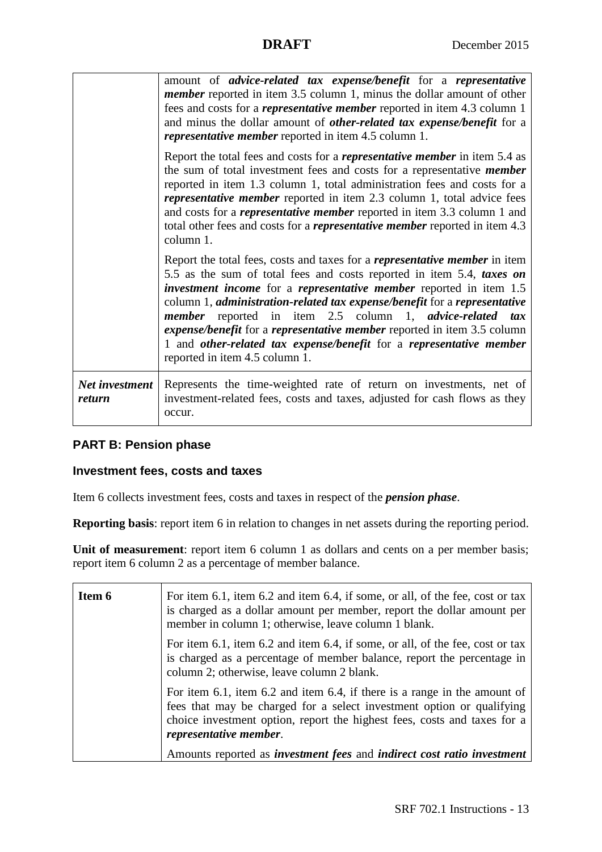|                                 | amount of <i>advice-related tax expense/benefit</i> for a <i>representative</i><br><i>member</i> reported in item 3.5 column 1, minus the dollar amount of other<br>fees and costs for a <i>representative member</i> reported in item 4.3 column 1<br>and minus the dollar amount of <i>other-related tax expense/benefit</i> for a<br><i>representative member</i> reported in item 4.5 column 1.                                                                                                                                                                         |
|---------------------------------|-----------------------------------------------------------------------------------------------------------------------------------------------------------------------------------------------------------------------------------------------------------------------------------------------------------------------------------------------------------------------------------------------------------------------------------------------------------------------------------------------------------------------------------------------------------------------------|
|                                 | Report the total fees and costs for a <i>representative member</i> in item 5.4 as<br>the sum of total investment fees and costs for a representative <i>member</i><br>reported in item 1.3 column 1, total administration fees and costs for a<br><i>representative member</i> reported in item 2.3 column 1, total advice fees<br>and costs for a <i>representative member</i> reported in item 3.3 column 1 and<br>total other fees and costs for a <i>representative member</i> reported in item 4.3<br>column 1.                                                        |
|                                 | Report the total fees, costs and taxes for a <i>representative member</i> in item<br>5.5 as the sum of total fees and costs reported in item 5.4, taxes on<br><i>investment income</i> for a <i>representative member</i> reported in item 1.5<br>column 1, administration-related tax expense/benefit for a representative<br>member reported in item 2.5 column 1, advice-related tax<br>expense/benefit for a representative member reported in item 3.5 column<br>1 and other-related tax expense/benefit for a representative member<br>reported in item 4.5 column 1. |
| <b>Net investment</b><br>return | Represents the time-weighted rate of return on investments, net of<br>investment-related fees, costs and taxes, adjusted for cash flows as they<br>occur.                                                                                                                                                                                                                                                                                                                                                                                                                   |

## **PART B: Pension phase**

## **Investment fees, costs and taxes**

Item 6 collects investment fees, costs and taxes in respect of the *pension phase*.

**Reporting basis**: report item 6 in relation to changes in net assets during the reporting period.

Unit of measurement: report item 6 column 1 as dollars and cents on a per member basis; report item 6 column 2 as a percentage of member balance.

| Item 6 | For item 6.1, item 6.2 and item 6.4, if some, or all, of the fee, cost or tax<br>is charged as a dollar amount per member, report the dollar amount per<br>member in column 1; otherwise, leave column 1 blank.                                          |
|--------|----------------------------------------------------------------------------------------------------------------------------------------------------------------------------------------------------------------------------------------------------------|
|        | For item 6.1, item 6.2 and item 6.4, if some, or all, of the fee, cost or tax<br>is charged as a percentage of member balance, report the percentage in<br>column 2; otherwise, leave column 2 blank.                                                    |
|        | For item 6.1, item 6.2 and item 6.4, if there is a range in the amount of<br>fees that may be charged for a select investment option or qualifying<br>choice investment option, report the highest fees, costs and taxes for a<br>representative member. |
|        | Amounts reported as <i>investment fees</i> and <i>indirect cost ratio investment</i>                                                                                                                                                                     |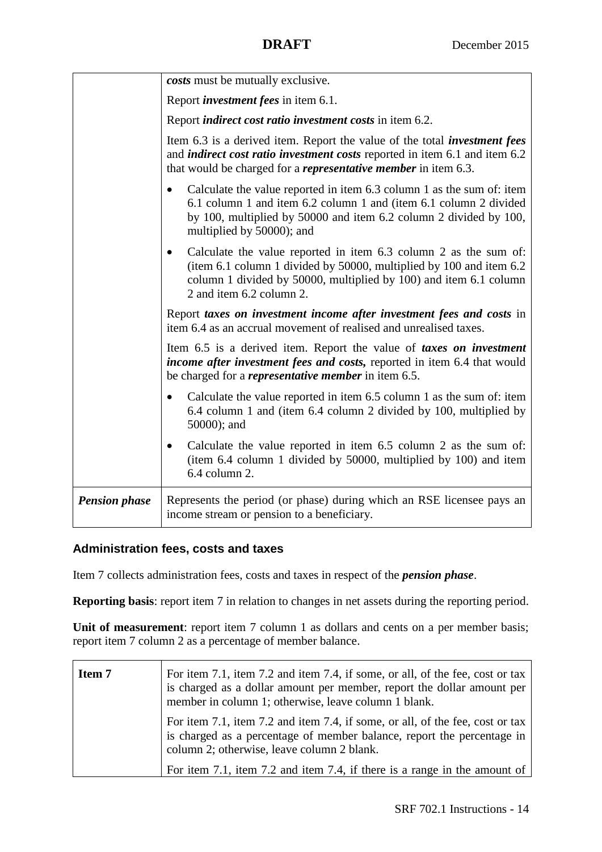|                      | costs must be mutually exclusive.                                                                                                                                                                                                                         |
|----------------------|-----------------------------------------------------------------------------------------------------------------------------------------------------------------------------------------------------------------------------------------------------------|
|                      | Report <i>investment fees</i> in item 6.1.                                                                                                                                                                                                                |
|                      | Report <i>indirect cost ratio investment costs</i> in item 6.2.                                                                                                                                                                                           |
|                      | Item 6.3 is a derived item. Report the value of the total <i>investment fees</i><br>and <i>indirect cost ratio investment costs</i> reported in item 6.1 and item 6.2<br>that would be charged for a <i>representative member</i> in item 6.3.            |
|                      | Calculate the value reported in item 6.3 column 1 as the sum of: item<br>$\bullet$<br>6.1 column 1 and item 6.2 column 1 and (item 6.1 column 2 divided<br>by 100, multiplied by 50000 and item 6.2 column 2 divided by 100,<br>multiplied by 50000); and |
|                      | Calculate the value reported in item 6.3 column 2 as the sum of:<br>$\bullet$<br>(item 6.1 column 1 divided by 50000, multiplied by 100 and item 6.2<br>column 1 divided by 50000, multiplied by 100) and item 6.1 column<br>2 and item 6.2 column 2.     |
|                      | Report taxes on investment income after investment fees and costs in<br>item 6.4 as an accrual movement of realised and unrealised taxes.                                                                                                                 |
|                      | Item 6.5 is a derived item. Report the value of taxes on investment<br>income after investment fees and costs, reported in item 6.4 that would<br>be charged for a <i>representative member</i> in item 6.5.                                              |
|                      | Calculate the value reported in item 6.5 column 1 as the sum of: item<br>$\bullet$<br>6.4 column 1 and (item 6.4 column 2 divided by 100, multiplied by<br>50000); and                                                                                    |
|                      | Calculate the value reported in item 6.5 column 2 as the sum of:<br>(item 6.4 column 1 divided by 50000, multiplied by 100) and item<br>6.4 column 2.                                                                                                     |
| <b>Pension phase</b> | Represents the period (or phase) during which an RSE licensee pays an<br>income stream or pension to a beneficiary.                                                                                                                                       |

## **Administration fees, costs and taxes**

Item 7 collects administration fees, costs and taxes in respect of the *pension phase*.

**Reporting basis:** report item 7 in relation to changes in net assets during the reporting period.

Unit of measurement: report item 7 column 1 as dollars and cents on a per member basis; report item 7 column 2 as a percentage of member balance.

| Item 7 | For item 7.1, item 7.2 and item 7.4, if some, or all, of the fee, cost or tax<br>is charged as a dollar amount per member, report the dollar amount per<br>member in column 1; otherwise, leave column 1 blank. |
|--------|-----------------------------------------------------------------------------------------------------------------------------------------------------------------------------------------------------------------|
|        | For item 7.1, item 7.2 and item 7.4, if some, or all, of the fee, cost or tax<br>is charged as a percentage of member balance, report the percentage in<br>column 2; otherwise, leave column 2 blank.           |
|        | For item 7.1, item 7.2 and item 7.4, if there is a range in the amount of                                                                                                                                       |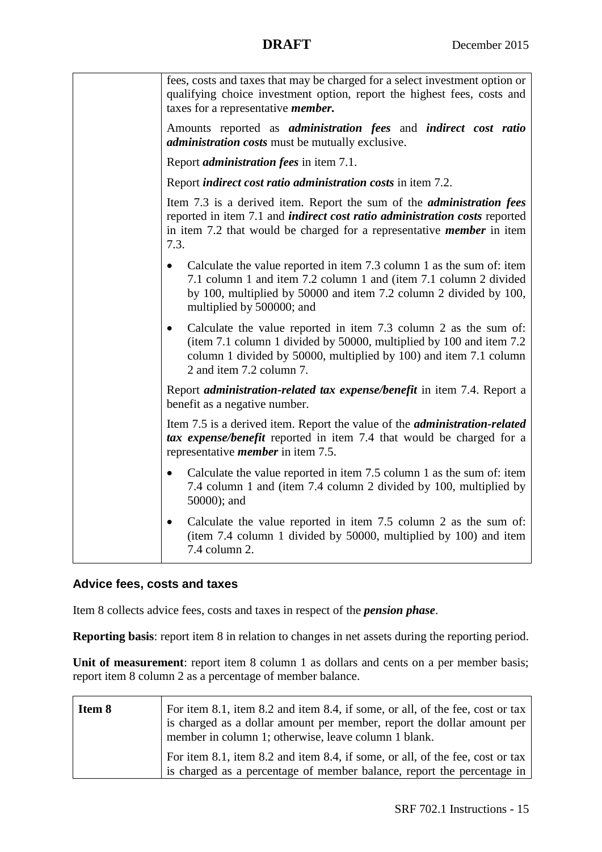| fees, costs and taxes that may be charged for a select investment option or<br>qualifying choice investment option, report the highest fees, costs and<br>taxes for a representative <i>member</i> .                                                      |
|-----------------------------------------------------------------------------------------------------------------------------------------------------------------------------------------------------------------------------------------------------------|
| Amounts reported as <i>administration fees</i> and <i>indirect cost ratio</i><br><i>administration costs</i> must be mutually exclusive.                                                                                                                  |
| Report <i>administration fees</i> in item 7.1.                                                                                                                                                                                                            |
| Report <i>indirect cost ratio administration costs</i> in item 7.2.                                                                                                                                                                                       |
| Item 7.3 is a derived item. Report the sum of the <i>administration fees</i><br>reported in item 7.1 and <i>indirect cost ratio administration costs</i> reported<br>in item 7.2 that would be charged for a representative <i>member</i> in item<br>7.3. |
| Calculate the value reported in item 7.3 column 1 as the sum of: item<br>$\bullet$<br>7.1 column 1 and item 7.2 column 1 and (item 7.1 column 2 divided<br>by 100, multiplied by 50000 and item 7.2 column 2 divided by 100,<br>multiplied by 500000; and |
| Calculate the value reported in item 7.3 column 2 as the sum of:<br>$\bullet$<br>(item 7.1 column 1 divided by 50000, multiplied by 100 and item 7.2<br>column 1 divided by 50000, multiplied by 100) and item 7.1 column<br>2 and item 7.2 column 7.     |
| Report administration-related tax expense/benefit in item 7.4. Report a<br>benefit as a negative number.                                                                                                                                                  |
| Item 7.5 is a derived item. Report the value of the <i>administration-related</i><br>tax expense/benefit reported in item 7.4 that would be charged for a<br>representative <i>member</i> in item 7.5.                                                    |
| Calculate the value reported in item 7.5 column 1 as the sum of: item<br>$\bullet$<br>7.4 column 1 and (item 7.4 column 2 divided by 100, multiplied by<br>50000); and                                                                                    |
| Calculate the value reported in item 7.5 column 2 as the sum of:<br>(item 7.4 column 1 divided by 50000, multiplied by 100) and item<br>7.4 column 2.                                                                                                     |

## **Advice fees, costs and taxes**

Item 8 collects advice fees, costs and taxes in respect of the *pension phase*.

**Reporting basis**: report item 8 in relation to changes in net assets during the reporting period.

Unit of measurement: report item 8 column 1 as dollars and cents on a per member basis; report item 8 column 2 as a percentage of member balance.

| Item 8 | For item 8.1, item 8.2 and item 8.4, if some, or all, of the fee, cost or tax<br>is charged as a dollar amount per member, report the dollar amount per<br>member in column 1; otherwise, leave column 1 blank. |
|--------|-----------------------------------------------------------------------------------------------------------------------------------------------------------------------------------------------------------------|
|        | For item 8.1, item 8.2 and item 8.4, if some, or all, of the fee, cost or tax<br>is charged as a percentage of member balance, report the percentage in                                                         |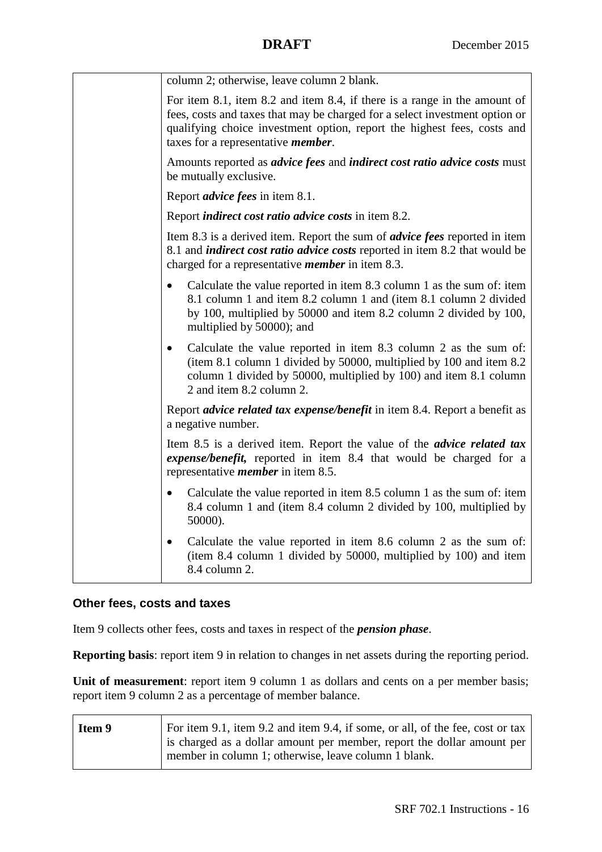| column 2; otherwise, leave column 2 blank.                                                                                                                                                                                                                                        |
|-----------------------------------------------------------------------------------------------------------------------------------------------------------------------------------------------------------------------------------------------------------------------------------|
| For item 8.1, item 8.2 and item 8.4, if there is a range in the amount of<br>fees, costs and taxes that may be charged for a select investment option or<br>qualifying choice investment option, report the highest fees, costs and<br>taxes for a representative <i>member</i> . |
| Amounts reported as <i>advice fees</i> and <i>indirect cost ratio advice costs</i> must<br>be mutually exclusive.                                                                                                                                                                 |
| Report <i>advice fees</i> in item 8.1.                                                                                                                                                                                                                                            |
| Report <i>indirect cost ratio advice costs</i> in item 8.2.                                                                                                                                                                                                                       |
| Item 8.3 is a derived item. Report the sum of <i>advice fees</i> reported in item<br>8.1 and <i>indirect cost ratio advice costs</i> reported in item 8.2 that would be<br>charged for a representative <i>member</i> in item 8.3.                                                |
| Calculate the value reported in item 8.3 column 1 as the sum of: item<br>$\bullet$<br>8.1 column 1 and item 8.2 column 1 and (item 8.1 column 2 divided<br>by 100, multiplied by 50000 and item 8.2 column 2 divided by 100,<br>multiplied by 50000); and                         |
| Calculate the value reported in item 8.3 column 2 as the sum of:<br>$\bullet$<br>(item 8.1 column 1 divided by 50000, multiplied by 100 and item 8.2<br>column 1 divided by 50000, multiplied by 100) and item 8.1 column<br>2 and item 8.2 column 2.                             |
| Report <i>advice related tax expense/benefit</i> in item 8.4. Report a benefit as<br>a negative number.                                                                                                                                                                           |
| Item 8.5 is a derived item. Report the value of the <i>advice related tax</i><br>expense/benefit, reported in item 8.4 that would be charged for a<br>representative <i>member</i> in item 8.5.                                                                                   |
| Calculate the value reported in item 8.5 column 1 as the sum of: item<br>8.4 column 1 and (item 8.4 column 2 divided by 100, multiplied by<br>50000).                                                                                                                             |
| Calculate the value reported in item 8.6 column 2 as the sum of:<br>$\bullet$<br>(item 8.4 column 1 divided by 50000, multiplied by 100) and item<br>8.4 column 2.                                                                                                                |

## **Other fees, costs and taxes**

Item 9 collects other fees, costs and taxes in respect of the *pension phase*.

**Reporting basis**: report item 9 in relation to changes in net assets during the reporting period.

Unit of measurement: report item 9 column 1 as dollars and cents on a per member basis; report item 9 column 2 as a percentage of member balance.

| Item 9 | For item 9.1, item 9.2 and item 9.4, if some, or all, of the fee, cost or tax<br>is charged as a dollar amount per member, report the dollar amount per |
|--------|---------------------------------------------------------------------------------------------------------------------------------------------------------|
|        | member in column 1; otherwise, leave column 1 blank.                                                                                                    |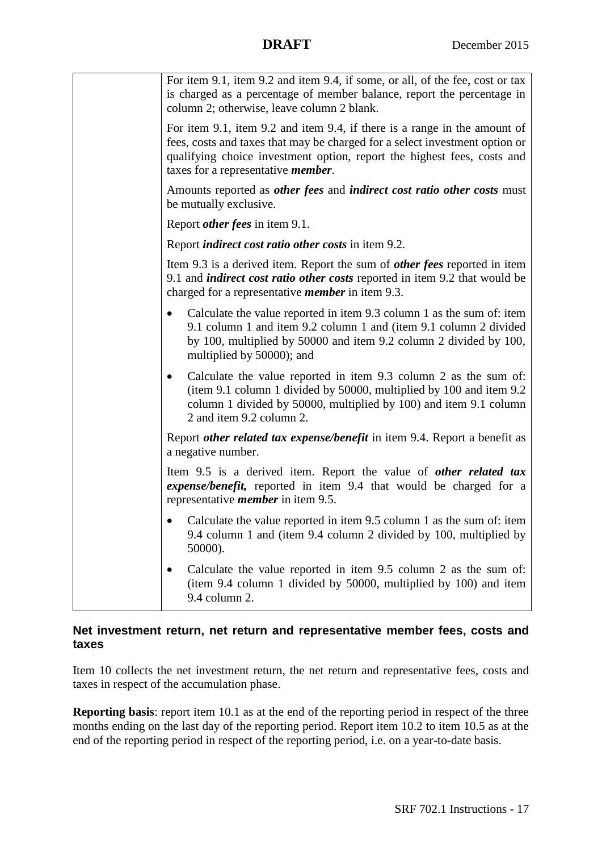| For item 9.1, item 9.2 and item 9.4, if some, or all, of the fee, cost or tax<br>is charged as a percentage of member balance, report the percentage in<br>column 2; otherwise, leave column 2 blank.                                                                             |
|-----------------------------------------------------------------------------------------------------------------------------------------------------------------------------------------------------------------------------------------------------------------------------------|
| For item 9.1, item 9.2 and item 9.4, if there is a range in the amount of<br>fees, costs and taxes that may be charged for a select investment option or<br>qualifying choice investment option, report the highest fees, costs and<br>taxes for a representative <i>member</i> . |
| Amounts reported as <i>other fees</i> and <i>indirect cost ratio other costs</i> must<br>be mutually exclusive.                                                                                                                                                                   |
| Report <i>other fees</i> in item 9.1.                                                                                                                                                                                                                                             |
| Report <i>indirect cost ratio other costs</i> in item 9.2.                                                                                                                                                                                                                        |
| Item 9.3 is a derived item. Report the sum of <i>other fees</i> reported in item<br>9.1 and <i>indirect cost ratio other costs</i> reported in item 9.2 that would be<br>charged for a representative <i>member</i> in item 9.3.                                                  |
| Calculate the value reported in item 9.3 column 1 as the sum of: item<br>9.1 column 1 and item 9.2 column 1 and (item 9.1 column 2 divided<br>by 100, multiplied by 50000 and item 9.2 column 2 divided by 100,<br>multiplied by 50000); and                                      |
| Calculate the value reported in item 9.3 column 2 as the sum of:<br>$\bullet$<br>(item 9.1 column 1 divided by 50000, multiplied by 100 and item 9.2<br>column 1 divided by 50000, multiplied by 100) and item 9.1 column<br>2 and item 9.2 column 2.                             |
| Report <i>other related tax expense/benefit</i> in item 9.4. Report a benefit as<br>a negative number.                                                                                                                                                                            |
| Item 9.5 is a derived item. Report the value of other related tax<br>expense/benefit, reported in item 9.4 that would be charged for a<br>representative <i>member</i> in item 9.5.                                                                                               |
| Calculate the value reported in item 9.5 column 1 as the sum of: item<br>9.4 column 1 and (item 9.4 column 2 divided by 100, multiplied by<br>50000).                                                                                                                             |
| Calculate the value reported in item 9.5 column 2 as the sum of:<br>(item 9.4 column 1 divided by 50000, multiplied by 100) and item<br>9.4 column 2.                                                                                                                             |

## **Net investment return, net return and representative member fees, costs and taxes**

Item 10 collects the net investment return, the net return and representative fees, costs and taxes in respect of the accumulation phase.

**Reporting basis**: report item 10.1 as at the end of the reporting period in respect of the three months ending on the last day of the reporting period. Report item 10.2 to item 10.5 as at the end of the reporting period in respect of the reporting period, i.e. on a year-to-date basis.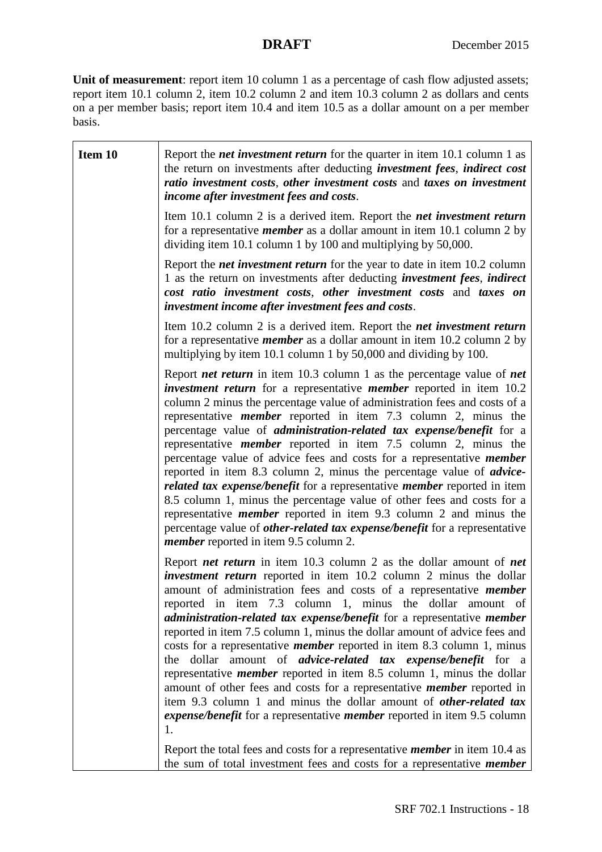Unit of measurement: report item 10 column 1 as a percentage of cash flow adjusted assets; report item 10.1 column 2, item 10.2 column 2 and item 10.3 column 2 as dollars and cents on a per member basis; report item 10.4 and item 10.5 as a dollar amount on a per member basis.

| Item 10 | Report the <i>net investment return</i> for the quarter in item 10.1 column 1 as<br>the return on investments after deducting <i>investment fees</i> , <i>indirect cost</i><br>ratio investment costs, other investment costs and taxes on investment<br>income after investment fees and costs.                                                                                                                                                                                                                                                                                                                                                                                                                                                                                                                                                                                                                                                                                                                                               |
|---------|------------------------------------------------------------------------------------------------------------------------------------------------------------------------------------------------------------------------------------------------------------------------------------------------------------------------------------------------------------------------------------------------------------------------------------------------------------------------------------------------------------------------------------------------------------------------------------------------------------------------------------------------------------------------------------------------------------------------------------------------------------------------------------------------------------------------------------------------------------------------------------------------------------------------------------------------------------------------------------------------------------------------------------------------|
|         | Item 10.1 column 2 is a derived item. Report the <i>net investment return</i><br>for a representative <i>member</i> as a dollar amount in item 10.1 column 2 by<br>dividing item 10.1 column 1 by 100 and multiplying by 50,000.                                                                                                                                                                                                                                                                                                                                                                                                                                                                                                                                                                                                                                                                                                                                                                                                               |
|         | Report the <i>net investment return</i> for the year to date in item 10.2 column<br>1 as the return on investments after deducting <i>investment fees</i> , <i>indirect</i><br>cost ratio investment costs, other investment costs and taxes on<br>investment income after investment fees and costs.                                                                                                                                                                                                                                                                                                                                                                                                                                                                                                                                                                                                                                                                                                                                          |
|         | Item 10.2 column 2 is a derived item. Report the <i>net investment return</i><br>for a representative <i>member</i> as a dollar amount in item 10.2 column 2 by<br>multiplying by item 10.1 column 1 by 50,000 and dividing by 100.                                                                                                                                                                                                                                                                                                                                                                                                                                                                                                                                                                                                                                                                                                                                                                                                            |
|         | Report <i>net return</i> in item 10.3 column 1 as the percentage value of <i>net</i><br><i>investment return</i> for a representative <i>member</i> reported in item 10.2<br>column 2 minus the percentage value of administration fees and costs of a<br>representative <i>member</i> reported in item 7.3 column 2, minus the<br>percentage value of <i>administration-related tax expense/benefit</i> for a<br>representative <i>member</i> reported in item 7.5 column 2, minus the<br>percentage value of advice fees and costs for a representative <i>member</i><br>reported in item 8.3 column 2, minus the percentage value of <i>advice</i> -<br>related tax expense/benefit for a representative member reported in item<br>8.5 column 1, minus the percentage value of other fees and costs for a<br>representative <i>member</i> reported in item 9.3 column 2 and minus the<br>percentage value of <i>other-related tax expense/benefit</i> for a representative<br><i>member</i> reported in item 9.5 column 2.                 |
|         | Report <i>net return</i> in item $10.3$ column 2 as the dollar amount of <i>net</i><br><i>investment return</i> reported in item 10.2 column 2 minus the dollar<br>amount of administration fees and costs of a representative <i>member</i><br>reported in item 7.3 column 1, minus the dollar amount of<br>administration-related tax expense/benefit for a representative member<br>reported in item 7.5 column 1, minus the dollar amount of advice fees and<br>costs for a representative <i>member</i> reported in item 8.3 column 1, minus<br>the dollar amount of <i>advice-related tax expense/benefit</i> for a<br>representative <i>member</i> reported in item 8.5 column 1, minus the dollar<br>amount of other fees and costs for a representative <i>member</i> reported in<br>item 9.3 column 1 and minus the dollar amount of <i>other-related tax</i><br>expense/benefit for a representative member reported in item 9.5 column<br>1.<br>Report the total fees and costs for a representative <i>member</i> in item 10.4 as |
|         | the sum of total investment fees and costs for a representative <i>member</i>                                                                                                                                                                                                                                                                                                                                                                                                                                                                                                                                                                                                                                                                                                                                                                                                                                                                                                                                                                  |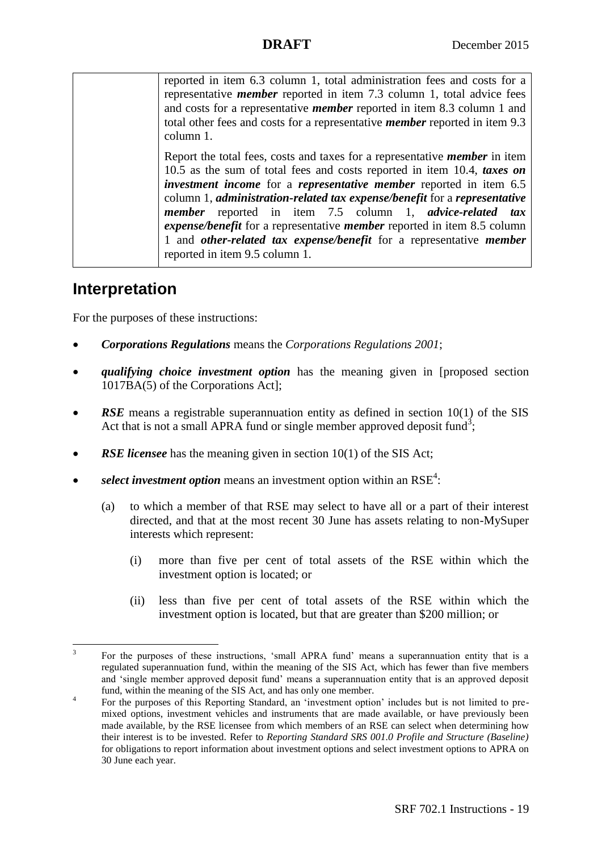reported in item 6.3 column 1, total administration fees and costs for a representative *member* reported in item 7.3 column 1, total advice fees and costs for a representative *member* reported in item 8.3 column 1 and total other fees and costs for a representative *member* reported in item 9.3 column 1.

Report the total fees, costs and taxes for a representative *member* in item 10.5 as the sum of total fees and costs reported in item 10.4, *taxes on investment income* for a *representative member* reported in item 6.5 column 1, *administration-related tax expense/benefit* for a *representative member* reported in item 7.5 column 1, *advice-related tax expense/benefit* for a representative *member* reported in item 8.5 column 1 and *other-related tax expense/benefit* for a representative *member* reported in item 9.5 column 1.

## **Interpretation**

For the purposes of these instructions:

- *Corporations Regulations* means the *Corporations Regulations 2001*;
- *qualifying choice investment option* has the meaning given in [proposed section 1017BA(5) of the Corporations Act];
- *RSE* means a registrable superannuation entity as defined in section 10(1) of the SIS Act that is not a small APRA fund or single member approved deposit fund<sup>3</sup>;
- *RSE licensee* has the meaning given in section 10(1) of the SIS Act;
- select investment option means an investment option within an  $RSE<sup>4</sup>$ :
	- (a) to which a member of that RSE may select to have all or a part of their interest directed, and that at the most recent 30 June has assets relating to non-MySuper interests which represent:
		- (i) more than five per cent of total assets of the RSE within which the investment option is located; or
		- (ii) less than five per cent of total assets of the RSE within which the investment option is located, but that are greater than \$200 million; or

<sup>-</sup>3 For the purposes of these instructions, 'small APRA fund' means a superannuation entity that is a regulated superannuation fund, within the meaning of the SIS Act, which has fewer than five members and 'single member approved deposit fund' means a superannuation entity that is an approved deposit fund, within the meaning of the SIS Act, and has only one member.

<sup>4</sup> For the purposes of this Reporting Standard, an 'investment option' includes but is not limited to premixed options, investment vehicles and instruments that are made available, or have previously been made available, by the RSE licensee from which members of an RSE can select when determining how their interest is to be invested. Refer to *Reporting Standard SRS 001.0 Profile and Structure (Baseline)*  for obligations to report information about investment options and select investment options to APRA on 30 June each year.